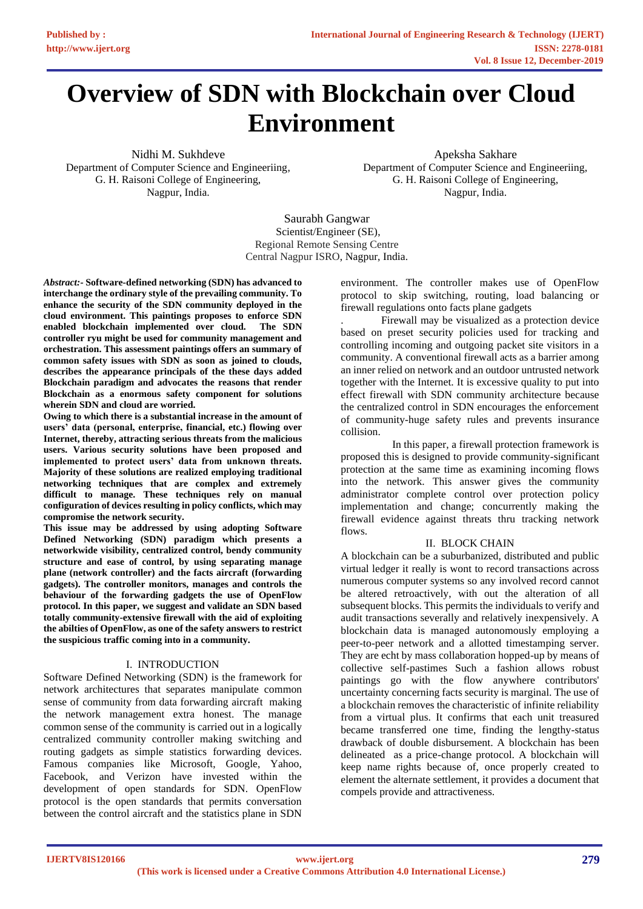# **Overview of SDN with Blockchain over Cloud Environment**

Nidhi M. Sukhdeve Department of Computer Science and Engineeriing, G. H. Raisoni College of Engineering, Nagpur, India.

Apeksha Sakhare Department of Computer Science and Engineeriing, G. H. Raisoni College of Engineering, Nagpur, India.

Saurabh Gangwar Scientist/Engineer (SE), Regional Remote Sensing Centre Central Nagpur ISRO, Nagpur, India.

*Abstract:-* **Software-defined networking (SDN) has advanced to interchange the ordinary style of the prevailing community. To enhance the security of the SDN community deployed in the cloud environment. This paintings proposes to enforce SDN enabled blockchain implemented over cloud. The SDN controller ryu might be used for community management and orchestration. This assessment paintings offers an summary of common safety issues with SDN as soon as joined to clouds, describes the appearance principals of the these days added Blockchain paradigm and advocates the reasons that render Blockchain as a enormous safety component for solutions wherein SDN and cloud are worried.**

**Owing to which there is a substantial increase in the amount of users' data (personal, enterprise, financial, etc.) flowing over Internet, thereby, attracting serious threats from the malicious users. Various security solutions have been proposed and implemented to protect users' data from unknown threats. Majority of these solutions are realized employing traditional networking techniques that are complex and extremely difficult to manage. These techniques rely on manual configuration of devices resulting in policy conflicts, which may compromise the network security.**

**This issue may be addressed by using adopting Software Defined Networking (SDN) paradigm which presents a networkwide visibility, centralized control, bendy community structure and ease of control, by using separating manage plane (network controller) and the facts aircraft (forwarding gadgets). The controller monitors, manages and controls the behaviour of the forwarding gadgets the use of OpenFlow protocol. In this paper, we suggest and validate an SDN based totally community-extensive firewall with the aid of exploiting the abilties of OpenFlow, as one of the safety answers to restrict the suspicious traffic coming into in a community.**

# I. INTRODUCTION

Software Defined Networking (SDN) is the framework for network architectures that separates manipulate common sense of community from data forwarding aircraft making the network management extra honest. The manage common sense of the community is carried out in a logically centralized community controller making switching and routing gadgets as simple statistics forwarding devices. Famous companies like Microsoft, Google, Yahoo, Facebook, and Verizon have invested within the development of open standards for SDN. OpenFlow protocol is the open standards that permits conversation between the control aircraft and the statistics plane in SDN

environment. The controller makes use of OpenFlow protocol to skip switching, routing, load balancing or firewall regulations onto facts plane gadgets

. Firewall may be visualized as a protection device based on preset security policies used for tracking and controlling incoming and outgoing packet site visitors in a community. A conventional firewall acts as a barrier among an inner relied on network and an outdoor untrusted network together with the Internet. It is excessive quality to put into effect firewall with SDN community architecture because the centralized control in SDN encourages the enforcement of community-huge safety rules and prevents insurance collision.

 In this paper, a firewall protection framework is proposed this is designed to provide community-significant protection at the same time as examining incoming flows into the network. This answer gives the community administrator complete control over protection policy implementation and change; concurrently making the firewall evidence against threats thru tracking network flows

# II. BLOCK CHAIN

A blockchain can be a suburbanized, distributed and public virtual ledger it really is wont to record transactions across numerous computer systems so any involved record cannot be altered retroactively, with out the alteration of all subsequent blocks. This permits the individuals to verify and audit transactions severally and relatively inexpensively. A blockchain data is managed autonomously employing a peer-to-peer network and a allotted timestamping server. They are echt by mass collaboration hopped-up by means of collective self-pastimes Such a fashion allows robust paintings go with the flow anywhere contributors' uncertainty concerning facts security is marginal. The use of a blockchain removes the characteristic of infinite reliability from a virtual plus. It confirms that each unit treasured became transferred one time, finding the lengthy-status drawback of double disbursement. A blockchain has been delineated as a price-change protocol. A blockchain will keep name rights because of, once properly created to element the alternate settlement, it provides a document that compels provide and attractiveness.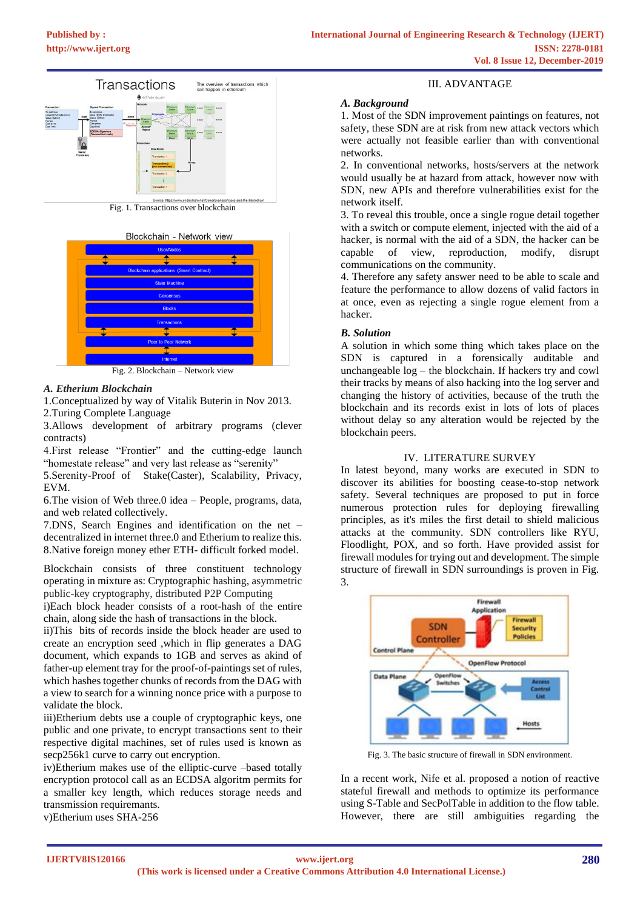

Fig. 1. Transactions over blockchain





Fig. 2. Blockchain – Network view

# *A. Etherium Blockchain*

1.Conceptualized by way of Vitalik Buterin in Nov 2013. 2.Turing Complete Language

3.Allows development of arbitrary programs (clever contracts)

4.First release "Frontier" and the cutting-edge launch "homestate release" and very last release as "serenity"

5.Serenity-Proof of Stake(Caster), Scalability, Privacy, EVM.

6.The vision of Web three.0 idea – People, programs, data, and web related collectively.

7.DNS, Search Engines and identification on the net – decentralized in internet three.0 and Etherium to realize this. 8.Native foreign money ether ETH- difficult forked model.

Blockchain consists of three constituent technology operating in mixture as: Cryptographic hashing, asymmetric public-key cryptography, distributed P2P Computing

i)Each block header consists of a root-hash of the entire chain, along side the hash of transactions in the block.

ii)This bits of records inside the block header are used to create an encryption seed ,which in flip generates a DAG document, which expands to 1GB and serves as akind of father-up element tray for the proof-of-paintings set of rules, which hashes together chunks of records from the DAG with a view to search for a winning nonce price with a purpose to validate the block.

iii)Etherium debts use a couple of cryptographic keys, one public and one private, to encrypt transactions sent to their respective digital machines, set of rules used is known as secp256k1 curve to carry out encryption.

iv)Etherium makes use of the elliptic-curve –based totally encryption protocol call as an ECDSA algoritm permits for a smaller key length, which reduces storage needs and transmission requiremants.

v)Etherium uses SHA-256

# III. ADVANTAGE

# *A. Background*

1. Most of the SDN improvement paintings on features, not safety, these SDN are at risk from new attack vectors which were actually not feasible earlier than with conventional networks.

2. In conventional networks, hosts/servers at the network would usually be at hazard from attack, however now with SDN, new APIs and therefore vulnerabilities exist for the network itself.

3. To reveal this trouble, once a single rogue detail together with a switch or compute element, injected with the aid of a hacker, is normal with the aid of a SDN, the hacker can be capable of view, reproduction, modify, disrupt communications on the community.

4. Therefore any safety answer need to be able to scale and feature the performance to allow dozens of valid factors in at once, even as rejecting a single rogue element from a hacker.

# *B. Solution*

A solution in which some thing which takes place on the SDN is captured in a forensically auditable and unchangeable log – the blockchain. If hackers try and cowl their tracks by means of also hacking into the log server and changing the history of activities, because of the truth the blockchain and its records exist in lots of lots of places without delay so any alteration would be rejected by the blockchain peers.

# IV. LITERATURE SURVEY

In latest beyond, many works are executed in SDN to discover its abilities for boosting cease-to-stop network safety. Several techniques are proposed to put in force numerous protection rules for deploying firewalling principles, as it's miles the first detail to shield malicious attacks at the community. SDN controllers like RYU, Floodlight, POX, and so forth. Have provided assist for firewall modules for trying out and development. The simple structure of firewall in SDN surroundings is proven in Fig. 3.



Fig. 3. The basic structure of firewall in SDN environment.

In a recent work, Nife et al. proposed a notion of reactive stateful firewall and methods to optimize its performance using S-Table and SecPolTable in addition to the flow table. However, there are still ambiguities regarding the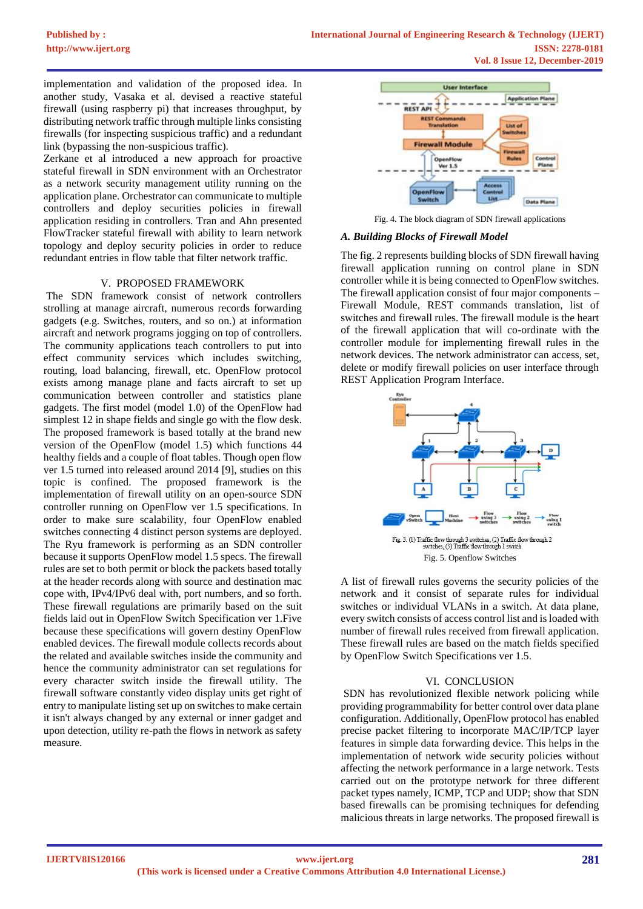implementation and validation of the proposed idea. In another study, Vasaka et al. devised a reactive stateful firewall (using raspberry pi) that increases throughput, by distributing network traffic through multiple links consisting firewalls (for inspecting suspicious traffic) and a redundant link (bypassing the non-suspicious traffic).

Zerkane et al introduced a new approach for proactive stateful firewall in SDN environment with an Orchestrator as a network security management utility running on the application plane. Orchestrator can communicate to multiple controllers and deploy securities policies in firewall application residing in controllers. Tran and Ahn presented FlowTracker stateful firewall with ability to learn network topology and deploy security policies in order to reduce redundant entries in flow table that filter network traffic.

# V. PROPOSED FRAMEWORK

The SDN framework consist of network controllers strolling at manage aircraft, numerous records forwarding gadgets (e.g. Switches, routers, and so on.) at information aircraft and network programs jogging on top of controllers. The community applications teach controllers to put into effect community services which includes switching, routing, load balancing, firewall, etc. OpenFlow protocol exists among manage plane and facts aircraft to set up communication between controller and statistics plane gadgets. The first model (model 1.0) of the OpenFlow had simplest 12 in shape fields and single go with the flow desk. The proposed framework is based totally at the brand new version of the OpenFlow (model 1.5) which functions 44 healthy fields and a couple of float tables. Though open flow ver 1.5 turned into released around 2014 [9], studies on this topic is confined. The proposed framework is the implementation of firewall utility on an open-source SDN controller running on OpenFlow ver 1.5 specifications. In order to make sure scalability, four OpenFlow enabled switches connecting 4 distinct person systems are deployed. The Ryu framework is performing as an SDN controller because it supports OpenFlow model 1.5 specs. The firewall rules are set to both permit or block the packets based totally at the header records along with source and destination mac cope with, IPv4/IPv6 deal with, port numbers, and so forth. These firewall regulations are primarily based on the suit fields laid out in OpenFlow Switch Specification ver 1.Five because these specifications will govern destiny OpenFlow enabled devices. The firewall module collects records about the related and available switches inside the community and hence the community administrator can set regulations for every character switch inside the firewall utility. The firewall software constantly video display units get right of entry to manipulate listing set up on switches to make certain it isn't always changed by any external or inner gadget and upon detection, utility re-path the flows in network as safety measure.



Fig. 4. The block diagram of SDN firewall applications

#### *A. Building Blocks of Firewall Model*

The fig. 2 represents building blocks of SDN firewall having firewall application running on control plane in SDN controller while it is being connected to OpenFlow switches. The firewall application consist of four major components – Firewall Module, REST commands translation, list of switches and firewall rules. The firewall module is the heart of the firewall application that will co-ordinate with the controller module for implementing firewall rules in the network devices. The network administrator can access, set, delete or modify firewall policies on user interface through REST Application Program Interface.



A list of firewall rules governs the security policies of the network and it consist of separate rules for individual switches or individual VLANs in a switch. At data plane, every switch consists of access control list and is loaded with number of firewall rules received from firewall application. These firewall rules are based on the match fields specified by OpenFlow Switch Specifications ver 1.5.

# VI. CONCLUSION

SDN has revolutionized flexible network policing while providing programmability for better control over data plane configuration. Additionally, OpenFlow protocol has enabled precise packet filtering to incorporate MAC/IP/TCP layer features in simple data forwarding device. This helps in the implementation of network wide security policies without affecting the network performance in a large network. Tests carried out on the prototype network for three different packet types namely, ICMP, TCP and UDP; show that SDN based firewalls can be promising techniques for defending malicious threats in large networks. The proposed firewall is